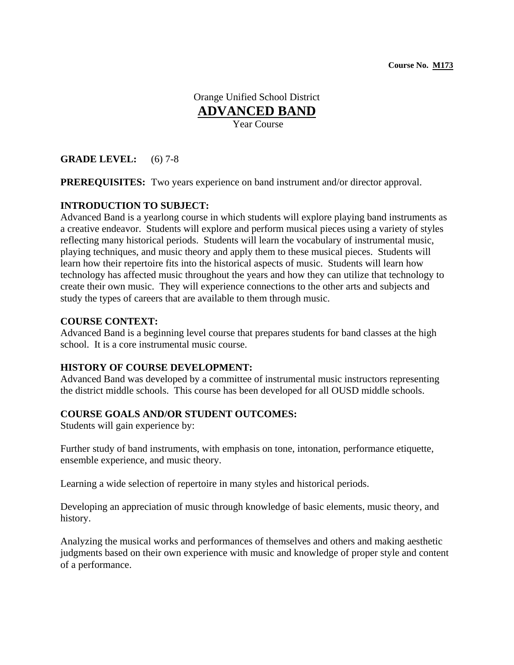**Course No. M173**

Orange Unified School District **ADVANCED BAND** Year Course

**GRADE LEVEL:** (6) 7-8

**PREREQUISITES:** Two years experience on band instrument and/or director approval.

# **INTRODUCTION TO SUBJECT:**

Advanced Band is a yearlong course in which students will explore playing band instruments as a creative endeavor. Students will explore and perform musical pieces using a variety of styles reflecting many historical periods. Students will learn the vocabulary of instrumental music, playing techniques, and music theory and apply them to these musical pieces. Students will learn how their repertoire fits into the historical aspects of music. Students will learn how technology has affected music throughout the years and how they can utilize that technology to create their own music. They will experience connections to the other arts and subjects and study the types of careers that are available to them through music.

### **COURSE CONTEXT:**

Advanced Band is a beginning level course that prepares students for band classes at the high school. It is a core instrumental music course.

# **HISTORY OF COURSE DEVELOPMENT:**

Advanced Band was developed by a committee of instrumental music instructors representing the district middle schools. This course has been developed for all OUSD middle schools.

# **COURSE GOALS AND/OR STUDENT OUTCOMES:**

Students will gain experience by:

Further study of band instruments, with emphasis on tone, intonation, performance etiquette, ensemble experience, and music theory.

Learning a wide selection of repertoire in many styles and historical periods.

Developing an appreciation of music through knowledge of basic elements, music theory, and history.

Analyzing the musical works and performances of themselves and others and making aesthetic judgments based on their own experience with music and knowledge of proper style and content of a performance.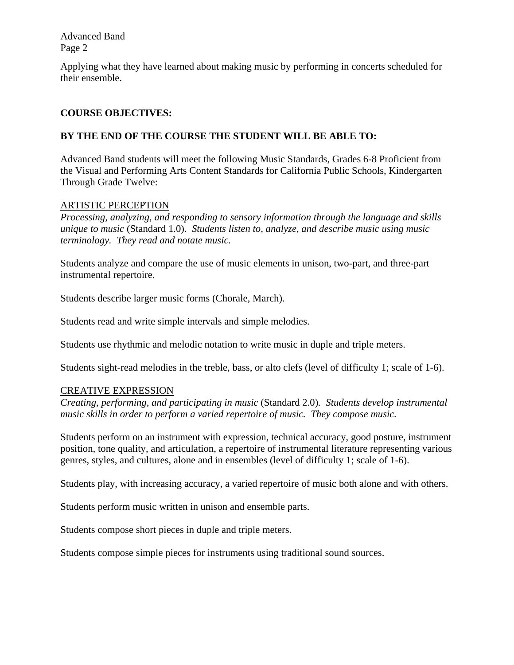Advanced Band Page 2

Applying what they have learned about making music by performing in concerts scheduled for their ensemble.

# **COURSE OBJECTIVES:**

# **BY THE END OF THE COURSE THE STUDENT WILL BE ABLE TO:**

Advanced Band students will meet the following Music Standards, Grades 6-8 Proficient from the Visual and Performing Arts Content Standards for California Public Schools, Kindergarten Through Grade Twelve:

## ARTISTIC PERCEPTION

*Processing, analyzing, and responding to sensory information through the language and skills unique to music* (Standard 1.0). *Students listen to, analyze, and describe music using music terminology. They read and notate music.* 

Students analyze and compare the use of music elements in unison, two-part, and three-part instrumental repertoire.

Students describe larger music forms (Chorale, March).

Students read and write simple intervals and simple melodies.

Students use rhythmic and melodic notation to write music in duple and triple meters.

Students sight-read melodies in the treble, bass, or alto clefs (level of difficulty 1; scale of 1-6).

# CREATIVE EXPRESSION

*Creating, performing, and participating in music* (Standard 2.0)*. Students develop instrumental music skills in order to perform a varied repertoire of music. They compose music.*

Students perform on an instrument with expression, technical accuracy, good posture, instrument position, tone quality, and articulation, a repertoire of instrumental literature representing various genres, styles, and cultures, alone and in ensembles (level of difficulty 1; scale of 1-6).

Students play, with increasing accuracy, a varied repertoire of music both alone and with others.

Students perform music written in unison and ensemble parts.

Students compose short pieces in duple and triple meters.

Students compose simple pieces for instruments using traditional sound sources.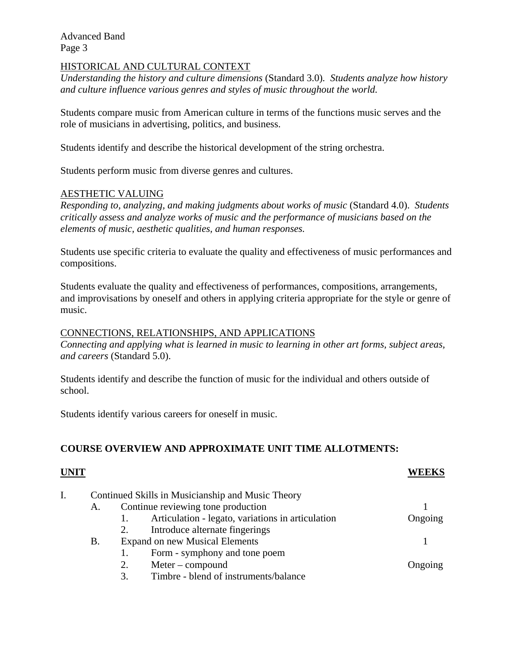Advanced Band Page 3

## HISTORICAL AND CULTURAL CONTEXT

*Understanding the history and culture dimensions* (Standard 3.0)*. Students analyze how history and culture influence various genres and styles of music throughout the world.* 

Students compare music from American culture in terms of the functions music serves and the role of musicians in advertising, politics, and business.

Students identify and describe the historical development of the string orchestra.

Students perform music from diverse genres and cultures.

### AESTHETIC VALUING

*Responding to, analyzing, and making judgments about works of music* (Standard 4.0). *Students critically assess and analyze works of music and the performance of musicians based on the elements of music, aesthetic qualities, and human responses.*

Students use specific criteria to evaluate the quality and effectiveness of music performances and compositions.

Students evaluate the quality and effectiveness of performances, compositions, arrangements, and improvisations by oneself and others in applying criteria appropriate for the style or genre of music.

#### CONNECTIONS, RELATIONSHIPS, AND APPLICATIONS

*Connecting and applying what is learned in music to learning in other art forms, subject areas, and careers* (Standard 5.0).

Students identify and describe the function of music for the individual and others outside of school.

Students identify various careers for oneself in music.

### **COURSE OVERVIEW AND APPROXIMATE UNIT TIME ALLOTMENTS:**

### **UNIT WEEKS**

| Continued Skills in Musicianship and Music Theory |                                    |                                                   |         |
|---------------------------------------------------|------------------------------------|---------------------------------------------------|---------|
| А.                                                | Continue reviewing tone production |                                                   |         |
|                                                   |                                    | Articulation - legato, variations in articulation | Ongoing |
|                                                   | 2.                                 | Introduce alternate fingerings                    |         |
| Β.                                                |                                    | <b>Expand on new Musical Elements</b>             |         |
|                                                   |                                    | Form - symphony and tone poem                     |         |
|                                                   | $Meter$ – compound<br>2.           |                                                   | Ongoing |
|                                                   | 3.                                 | Timbre - blend of instruments/balance             |         |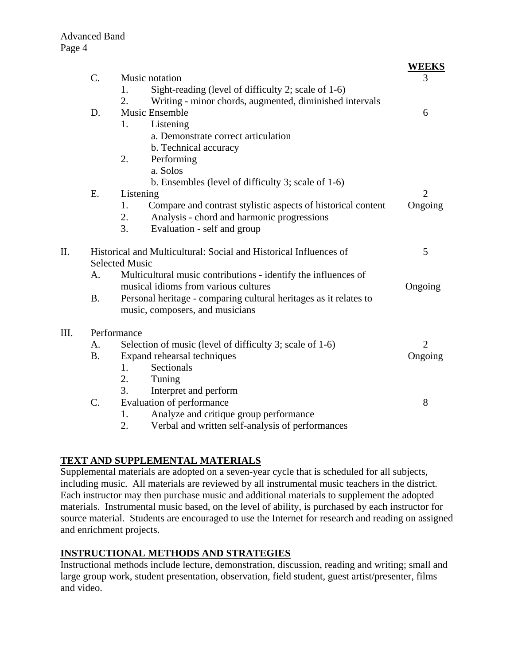$III.$ 

|      |                                                                   |                                                                    | <b>WEEKS</b>   |  |
|------|-------------------------------------------------------------------|--------------------------------------------------------------------|----------------|--|
|      | $\mathcal{C}$ .                                                   | Music notation                                                     | 3              |  |
|      |                                                                   | Sight-reading (level of difficulty 2; scale of 1-6)<br>1.          |                |  |
|      |                                                                   | 2.<br>Writing - minor chords, augmented, diminished intervals      |                |  |
|      | D.                                                                | <b>Music Ensemble</b>                                              | 6              |  |
|      |                                                                   | Listening<br>1.                                                    |                |  |
|      |                                                                   | a. Demonstrate correct articulation                                |                |  |
|      |                                                                   | b. Technical accuracy                                              |                |  |
|      |                                                                   | Performing<br>2.                                                   |                |  |
|      |                                                                   | a. Solos                                                           |                |  |
|      |                                                                   | b. Ensembles (level of difficulty 3; scale of 1-6)                 |                |  |
|      | Ε.                                                                | Listening                                                          | $\overline{2}$ |  |
|      |                                                                   | Compare and contrast stylistic aspects of historical content<br>1. | Ongoing        |  |
|      |                                                                   | 2.<br>Analysis - chord and harmonic progressions                   |                |  |
|      |                                                                   | 3.<br>Evaluation - self and group                                  |                |  |
| Π.   | Historical and Multicultural: Social and Historical Influences of |                                                                    | 5              |  |
|      |                                                                   | <b>Selected Music</b>                                              |                |  |
|      | A.                                                                | Multicultural music contributions - identify the influences of     |                |  |
|      |                                                                   | musical idioms from various cultures                               |                |  |
|      | <b>B.</b>                                                         | Personal heritage - comparing cultural heritages as it relates to  |                |  |
|      |                                                                   | music, composers, and musicians                                    |                |  |
| III. |                                                                   | Performance                                                        |                |  |
|      | A.                                                                | Selection of music (level of difficulty 3; scale of 1-6)           |                |  |
|      | <b>B.</b>                                                         | Expand rehearsal techniques                                        | Ongoing        |  |
|      |                                                                   | Sectionals<br>1.                                                   |                |  |
|      |                                                                   | 2.<br>Tuning                                                       |                |  |
|      |                                                                   | 3.<br>Interpret and perform                                        |                |  |
|      | $\mathcal{C}$ .                                                   | Evaluation of performance                                          | 8              |  |
|      |                                                                   | Analyze and critique group performance<br>1.                       |                |  |
|      |                                                                   | 2.<br>Verbal and written self-analysis of performances             |                |  |

# **TEXT AND SUPPLEMENTAL MATERIALS**

Supplemental materials are adopted on a seven-year cycle that is scheduled for all subjects, including music. All materials are reviewed by all instrumental music teachers in the district. Each instructor may then purchase music and additional materials to supplement the adopted materials. Instrumental music based, on the level of ability, is purchased by each instructor for source material. Students are encouraged to use the Internet for research and reading on assigned and enrichment projects.

# **INSTRUCTIONAL METHODS AND STRATEGIES**

Instructional methods include lecture, demonstration, discussion, reading and writing; small and large group work, student presentation, observation, field student, guest artist/presenter, films and video.